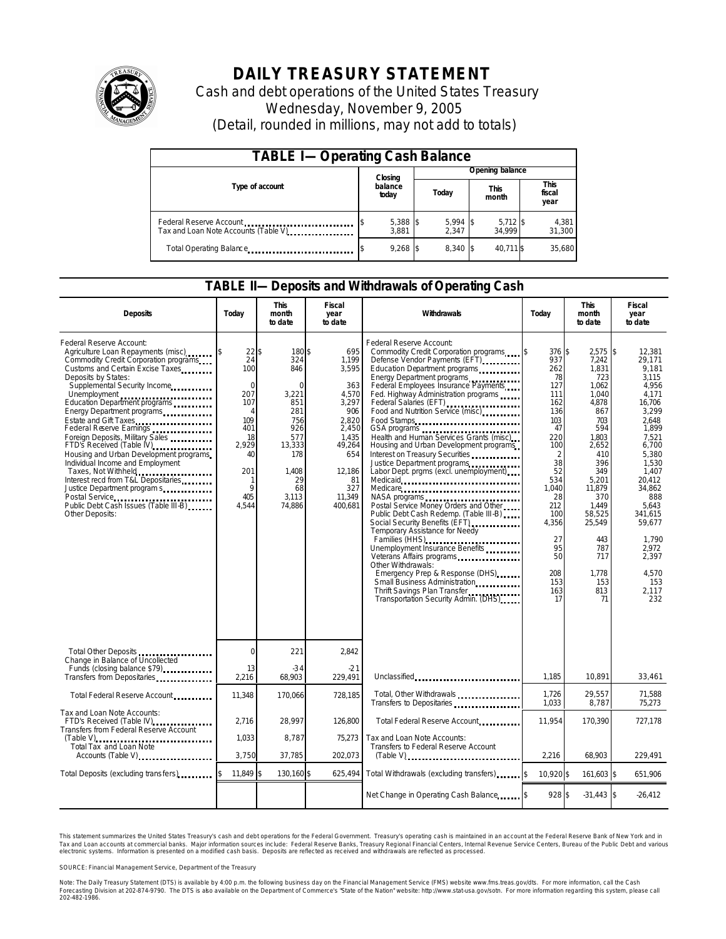

# **DAILY TREASURY STATEMENT**

Cash and debt operations of the United States Treasury Wednesday, November 9, 2005 (Detail, rounded in millions, may not add to totals)

| <b>TABLE I-Operating Cash Balance</b>                           |  |                   |  |                     |  |                      |  |                        |
|-----------------------------------------------------------------|--|-------------------|--|---------------------|--|----------------------|--|------------------------|
|                                                                 |  | Closing           |  | Opening balance     |  |                      |  |                        |
| Type of account                                                 |  | balance<br>today  |  | Today               |  | <b>This</b><br>month |  | This<br>fiscal<br>year |
| Federal Reserve Account<br>Tax and Loan Note Accounts (Table V) |  | 5,388 \$<br>3.881 |  | $5,994$ \$<br>2.347 |  | $5,712$ \$<br>34.999 |  | 4,381<br>31,300        |
| Total Operating Balance                                         |  | $9,268$ \$        |  | 8.340 \$            |  | 40.711 \$            |  | 35,680                 |

#### **TABLE II—Deposits and Withdrawals of Operating Cash**

| <b>Deposits</b>                                                                                                                                                                                                                                                                                                                                                                                                                                                                                                                                                                                                                                        | Todav                                                                                                                           | <b>This</b><br>month<br>to date                                                                                                      | Fiscal<br>year<br>to date                                                                                                                     | Withdrawals                                                                                                                                                                                                                                                                                                                                                                                                                                                                                                                                                                                                                                                                                                                                                                                                                                                                                                                                                                                   | Todav                                                                                                                                                                                               | <b>This</b><br>month<br>to date                                                                                                                                                                                                | Fiscal<br>year<br>to date                                                                                                                                                                                                                                        |
|--------------------------------------------------------------------------------------------------------------------------------------------------------------------------------------------------------------------------------------------------------------------------------------------------------------------------------------------------------------------------------------------------------------------------------------------------------------------------------------------------------------------------------------------------------------------------------------------------------------------------------------------------------|---------------------------------------------------------------------------------------------------------------------------------|--------------------------------------------------------------------------------------------------------------------------------------|-----------------------------------------------------------------------------------------------------------------------------------------------|-----------------------------------------------------------------------------------------------------------------------------------------------------------------------------------------------------------------------------------------------------------------------------------------------------------------------------------------------------------------------------------------------------------------------------------------------------------------------------------------------------------------------------------------------------------------------------------------------------------------------------------------------------------------------------------------------------------------------------------------------------------------------------------------------------------------------------------------------------------------------------------------------------------------------------------------------------------------------------------------------|-----------------------------------------------------------------------------------------------------------------------------------------------------------------------------------------------------|--------------------------------------------------------------------------------------------------------------------------------------------------------------------------------------------------------------------------------|------------------------------------------------------------------------------------------------------------------------------------------------------------------------------------------------------------------------------------------------------------------|
| Federal Reserve Account:<br>Agriculture Loan Repayments (misc)<br>Commodity Credit Corporation programs<br>Customs and Certain Excise Taxes<br>Deposits by States:<br>Supplemental Security Income<br>Energy Department programs<br>Estate and Gift Taxes<br>Federal Reserve Earnings<br>1998 - The Manuel Reserve Earnings<br>Foreign Deposits, Military Sales<br>FTD's Received (Table IV)<br>Housing and Urban Development programs<br>Individual Income and Employment<br>Taxes, Not Withheld<br>Interest recd from T&L Depositaries<br>Justice Department program s<br>Postal Service<br>Public Debt Cash Issues (Table III-B)<br>Other Deposits: | $22$ \$<br>24<br>100<br>$\Omega$<br>207<br>107<br>$\Delta$<br>109<br>401<br>18<br>2.929<br>40<br>201<br>-1<br>9<br>405<br>4,544 | 180\$<br>324<br>846<br>$\Omega$<br>3,221<br>851<br>281<br>756<br>926<br>577<br>13,333<br>178<br>1,408<br>29<br>68<br>3,113<br>74,886 | 695<br>1.199<br>3,595<br>363<br>4,570<br>3,297<br>906<br>2,820<br>2,450<br>1,435<br>49,264<br>654<br>12,186<br>81<br>327<br>11,349<br>400,681 | Federal Reserve Account:<br>Commodity Credit Corporation programs<br>Defense Vendor Payments (EFT)<br>Education Department programs<br>Energy Department programs<br>Federal Employees Insurance Payments<br>Fed. Highway Administration programs<br>Federal Salaries (EFT)<br>Food and Nutrition Service (misc).<br>Food Stamps<br>GSA programs<br>Health and Human Services Grants (misc)<br>Housing and Urban Development programs<br>Interest on Treasury Securities<br>Justice Department programs<br>Labor Dept. prgms (excl. unemployment)<br>Medicare<br>NASA programs<br>Postal Service Money Orders and Other<br>Public Debt Cash Redemp. (Table III-B)<br>Social Security Benefits (EFT)<br><br>Temporary Assistance for Needy<br>Families (HHS)<br>Unemployment Insurance Benefits<br>Veterans Affairs programs<br>Other Withdrawals:<br>Emergency Prep & Response (DHS)<br>Small Business Administration<br>Thrift Savings Plan Transfer<br>Transportation Security Admin. (DHS) | 376 \$<br>1\$<br>937<br>262<br>78<br>127<br>111<br>162<br>136<br>103<br>47<br>220<br>100<br>2<br>38<br>52<br>534<br>1.040<br>28<br>212<br>100<br>4,356<br>27<br>95<br>50<br>208<br>153<br>163<br>17 | 2,575<br>7.242<br>1,831<br>723<br>1,062<br>1,040<br>4,878<br>867<br>703<br>594<br>1,803<br>2.652<br>410<br>396<br>349<br>5,201<br>11.879<br>370<br>1,449<br>58,525<br>25,549<br>443<br>787<br>717<br>1,778<br>153<br>813<br>71 | \$<br>12,381<br>29.171<br>9.181<br>3.115<br>4,956<br>4,171<br>16,706<br>3.299<br>2,648<br>1.899<br>7,521<br>6.700<br>5.380<br>1,530<br>1,407<br>20.412<br>34.862<br>888<br>5,643<br>341,615<br>59,677<br>1,790<br>2,972<br>2,397<br>4,570<br>153<br>2,117<br>232 |
| Total Other Deposits<br>Change in Balance of Uncollected                                                                                                                                                                                                                                                                                                                                                                                                                                                                                                                                                                                               | $\Omega$                                                                                                                        | 221                                                                                                                                  | 2.842                                                                                                                                         |                                                                                                                                                                                                                                                                                                                                                                                                                                                                                                                                                                                                                                                                                                                                                                                                                                                                                                                                                                                               |                                                                                                                                                                                                     |                                                                                                                                                                                                                                |                                                                                                                                                                                                                                                                  |
| Funds (closing balance \$79)<br>Transfers from Depositaries                                                                                                                                                                                                                                                                                                                                                                                                                                                                                                                                                                                            | 13<br>2,216                                                                                                                     | $-34$<br>68.903                                                                                                                      | $-21$<br>229.491                                                                                                                              | Unclassified                                                                                                                                                                                                                                                                                                                                                                                                                                                                                                                                                                                                                                                                                                                                                                                                                                                                                                                                                                                  | 1,185                                                                                                                                                                                               | 10,891                                                                                                                                                                                                                         | 33,461                                                                                                                                                                                                                                                           |
| Total Federal Reserve Account                                                                                                                                                                                                                                                                                                                                                                                                                                                                                                                                                                                                                          | 11,348                                                                                                                          | 170,066                                                                                                                              | 728,185                                                                                                                                       | Total, Other Withdrawals<br>Transfers to Depositaries                                                                                                                                                                                                                                                                                                                                                                                                                                                                                                                                                                                                                                                                                                                                                                                                                                                                                                                                         | 1.726<br>1,033                                                                                                                                                                                      | 29.557<br>8,787                                                                                                                                                                                                                | 71.588<br>75,273                                                                                                                                                                                                                                                 |
| Tax and Loan Note Accounts:<br>FTD's Received (Table IV)<br>Transfers from Federal Reserve Account                                                                                                                                                                                                                                                                                                                                                                                                                                                                                                                                                     | 2,716                                                                                                                           | 28,997                                                                                                                               | 126,800                                                                                                                                       | Total Federal Reserve Account                                                                                                                                                                                                                                                                                                                                                                                                                                                                                                                                                                                                                                                                                                                                                                                                                                                                                                                                                                 | 11,954                                                                                                                                                                                              | 170,390                                                                                                                                                                                                                        | 727,178                                                                                                                                                                                                                                                          |
| Total Tax and Loan Note<br>Accounts (Table V)                                                                                                                                                                                                                                                                                                                                                                                                                                                                                                                                                                                                          | 1,033<br>3,750                                                                                                                  | 8,787<br>37,785                                                                                                                      | 75,273<br>202,073                                                                                                                             | Tax and Loan Note Accounts:<br>Transfers to Federal Reserve Account<br>$(Table V)$                                                                                                                                                                                                                                                                                                                                                                                                                                                                                                                                                                                                                                                                                                                                                                                                                                                                                                            | 2,216                                                                                                                                                                                               | 68,903                                                                                                                                                                                                                         | 229,491                                                                                                                                                                                                                                                          |
| Total Deposits (excluding transfers)                                                                                                                                                                                                                                                                                                                                                                                                                                                                                                                                                                                                                   | 11.849 \$                                                                                                                       | 130,160 \$                                                                                                                           | 625,494                                                                                                                                       | Total Withdrawals (excluding transfers)                                                                                                                                                                                                                                                                                                                                                                                                                                                                                                                                                                                                                                                                                                                                                                                                                                                                                                                                                       | 10,920 \$<br>1\$                                                                                                                                                                                    | 161,603 \$                                                                                                                                                                                                                     | 651,906                                                                                                                                                                                                                                                          |
|                                                                                                                                                                                                                                                                                                                                                                                                                                                                                                                                                                                                                                                        |                                                                                                                                 |                                                                                                                                      |                                                                                                                                               | Net Change in Operating Cash Balance [8]                                                                                                                                                                                                                                                                                                                                                                                                                                                                                                                                                                                                                                                                                                                                                                                                                                                                                                                                                      | 928 \$                                                                                                                                                                                              | $-31,443$ \$                                                                                                                                                                                                                   | $-26,412$                                                                                                                                                                                                                                                        |

This statement summarizes the United States Treasury's cash and debt operations for the Federal Government. Treasury's operating cash is maintained in an account at the Federal Reserve Bank of New York and in Tax and Loan accounts at commercial banks. Major information sources include: Federal Reserve Banks, Treasury Regional Financial Centers, Internal Revenue Service Centers, Bureau of the Public Debt and various<br>electronic s

SOURCE: Financial Management Service, Department of the Treasury

Note: The Daily Treasury Statement (DTS) is available by 4:00 p.m. the following business day on the Financial Management Service (FMS) website www.fms.treas.gov/dts. For more information, call the Cash Forecasting Division at 202-874-9790. The DTS is also available on the Department of Commerce's "State of the Nation" website: http://www.stat-usa.gov/sotn.<br>202-482-1986. 'S) is available by 4:00 p.m. the following business day on the Financial Management Service (FMS) website www.fms.treas.gov/dts. For more information, call the Cash<br>The DTS is abo available on the Department of Commerce's